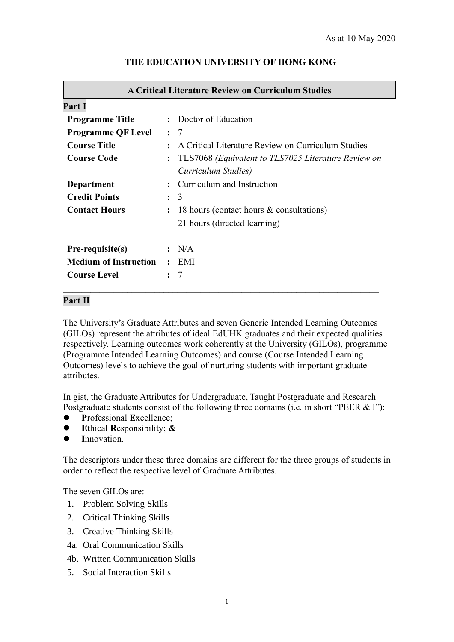| <b>A Critical Literature Review on Curriculum Studies</b> |                                                            |                                                    |  |  |  |  |  |
|-----------------------------------------------------------|------------------------------------------------------------|----------------------------------------------------|--|--|--|--|--|
| Part I                                                    |                                                            |                                                    |  |  |  |  |  |
| <b>Programme Title</b>                                    |                                                            | : Doctor of Education                              |  |  |  |  |  |
| <b>Programme QF Level</b>                                 |                                                            | $\colon$ 7                                         |  |  |  |  |  |
| <b>Course Title</b>                                       |                                                            | A Critical Literature Review on Curriculum Studies |  |  |  |  |  |
| <b>Course Code</b>                                        | TLS7068 (Equivalent to TLS7025 Literature Review on        |                                                    |  |  |  |  |  |
|                                                           |                                                            | Curriculum Studies)                                |  |  |  |  |  |
| Department                                                |                                                            | Curriculum and Instruction                         |  |  |  |  |  |
| <b>Credit Points</b>                                      | 3<br>$\ddot{\cdot}$                                        |                                                    |  |  |  |  |  |
| <b>Contact Hours</b>                                      | 18 hours (contact hours & consultations)<br>$\ddot{\cdot}$ |                                                    |  |  |  |  |  |
|                                                           |                                                            | 21 hours (directed learning)                       |  |  |  |  |  |
| Pre-requisite(s)                                          |                                                            | N/A                                                |  |  |  |  |  |
| <b>Medium of Instruction</b>                              | $\ddot{\cdot}$                                             | EMI                                                |  |  |  |  |  |
| <b>Course Level</b>                                       |                                                            |                                                    |  |  |  |  |  |

### **THE EDUCATION UNIVERSITY OF HONG KONG**

#### **Part II**

The University's Graduate Attributes and seven Generic Intended Learning Outcomes (GILOs) represent the attributes of ideal EdUHK graduates and their expected qualities respectively. Learning outcomes work coherently at the University (GILOs), programme (Programme Intended Learning Outcomes) and course (Course Intended Learning Outcomes) levels to achieve the goal of nurturing students with important graduate attributes.

In gist, the Graduate Attributes for Undergraduate, Taught Postgraduate and Research Postgraduate students consist of the following three domains (i.e. in short "PEER & I"):

- ⚫ **P**rofessional **E**xcellence;
- ⚫ **E**thical **R**esponsibility; **&**
- Innovation.

The descriptors under these three domains are different for the three groups of students in order to reflect the respective level of Graduate Attributes.

The seven GILOs are:

- 1. Problem Solving Skills
- 2. Critical Thinking Skills
- 3. Creative Thinking Skills
- 4a. Oral Communication Skills
- 4b. Written Communication Skills
- 5. Social Interaction Skills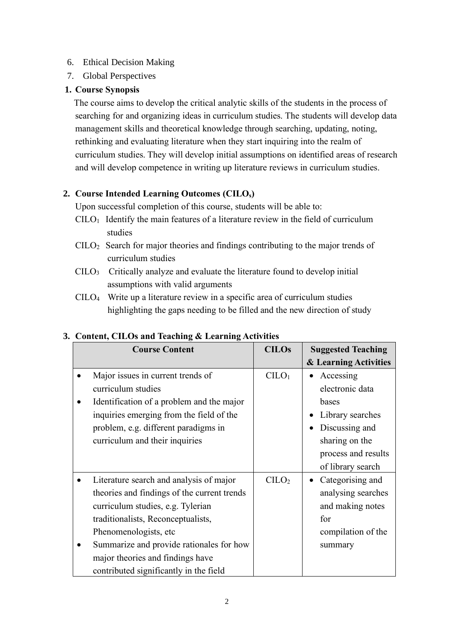### 6. Ethical Decision Making

7. Global Perspectives

# **1. Course Synopsis**

The course aims to develop the critical analytic skills of the students in the process of searching for and organizing ideas in curriculum studies. The students will develop data management skills and theoretical knowledge through searching, updating, noting, rethinking and evaluating literature when they start inquiring into the realm of curriculum studies. They will develop initial assumptions on identified areas of research and will develop competence in writing up literature reviews in curriculum studies.

# **2. Course Intended Learning Outcomes (CILOs)**

Upon successful completion of this course, students will be able to:

- $C I L O<sub>1</sub>$  Identify the main features of a literature review in the field of curriculum studies
- CILO2 Search for major theories and findings contributing to the major trends of curriculum studies
- CILO<sup>3</sup> Critically analyze and evaluate the literature found to develop initial assumptions with valid arguments
- CILO<sup>4</sup> Write up a literature review in a specific area of curriculum studies highlighting the gaps needing to be filled and the new direction of study

| <b>Course Content</b>                       | <b>CILOs</b>                  | <b>Suggested Teaching</b> |
|---------------------------------------------|-------------------------------|---------------------------|
|                                             |                               | & Learning Activities     |
| Major issues in current trends of           | C <sub>1</sub> O <sub>1</sub> | Accessing<br>$\bullet$    |
| curriculum studies                          |                               | electronic data           |
| Identification of a problem and the major   |                               | bases                     |
| inquiries emerging from the field of the    |                               | Library searches          |
| problem, e.g. different paradigms in        |                               | Discussing and            |
| curriculum and their inquiries              |                               | sharing on the            |
|                                             |                               | process and results       |
|                                             |                               | of library search         |
| Literature search and analysis of major     | CILO <sub>2</sub>             | Categorising and          |
| theories and findings of the current trends |                               | analysing searches        |
| curriculum studies, e.g. Tylerian           |                               | and making notes          |
| traditionalists, Reconceptualists,          |                               | for                       |
| Phenomenologists, etc                       |                               | compilation of the        |
| Summarize and provide rationales for how    |                               | summary                   |
| major theories and findings have            |                               |                           |
| contributed significantly in the field      |                               |                           |

# **3. Content, CILOs and Teaching & Learning Activities**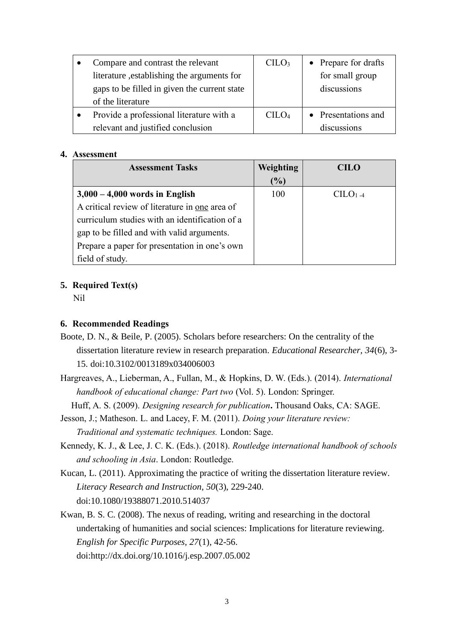| Compare and contrast the relevant            | CILO <sub>3</sub>              | • Prepare for drafts |
|----------------------------------------------|--------------------------------|----------------------|
| literature, establishing the arguments for   |                                | for small group      |
| gaps to be filled in given the current state |                                | discussions          |
| of the literature                            |                                |                      |
| Provide a professional literature with a     | C <sub>1</sub> CO <sub>4</sub> | • Presentations and  |
| relevant and justified conclusion            |                                | discussions          |

### **4. Assessment**

| <b>Assessment Tasks</b>                        | Weighting | CILO   |
|------------------------------------------------|-----------|--------|
|                                                | $(\%)$    |        |
| $3,000 - 4,000$ words in English               | 100       | $C1-4$ |
| A critical review of literature in one area of |           |        |
| curriculum studies with an identification of a |           |        |
| gap to be filled and with valid arguments.     |           |        |
| Prepare a paper for presentation in one's own  |           |        |
| field of study.                                |           |        |

# **5. Required Text(s)**

Nil

# **6. Recommended Readings**

- Boote, D. N., & Beile, P. (2005). Scholars before researchers: On the centrality of the dissertation literature review in research preparation. *Educational Researcher, 34*(6), 3- 15. doi:10.3102/0013189x034006003
- Hargreaves, A., Lieberman, A., Fullan, M., & Hopkins, D. W. (Eds.). (2014). *International handbook of educational change: Part two* (Vol. 5). London: Springer.

Huff, A. S. (2009). *Designing research for publication***.** Thousand Oaks, CA: SAGE.

Jesson, J.; Matheson. L. and Lacey, F. M. (2011). *Doing your literature review: Traditional and systematic techniques.* London: Sage.

- Kennedy, K. J., & Lee, J. C. K. (Eds.). (2018). *Routledge international handbook of schools and schooling in Asia*. London: Routledge.
- Kucan, L. (2011). Approximating the practice of writing the dissertation literature review. *Literacy Research and Instruction, 50*(3), 229-240. doi:10.1080/19388071.2010.514037
- Kwan, B. S. C. (2008). The nexus of reading, writing and researching in the doctoral undertaking of humanities and social sciences: Implications for literature reviewing. *English for Specific Purposes, 27*(1), 42-56. doi:http://dx.doi.org/10.1016/j.esp.2007.05.002